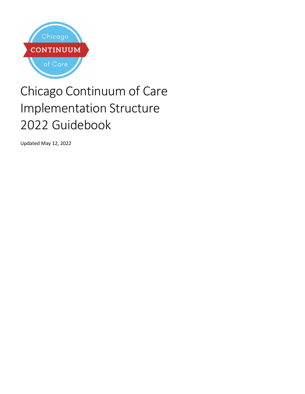

# Chicago Continuum of Care Implementation Structure 2022 Guidebook

Updated May 12, 2022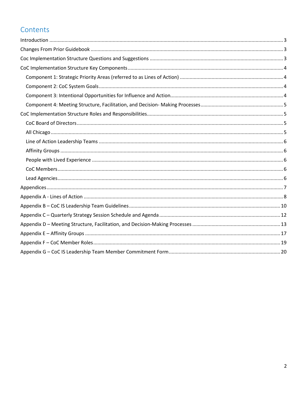# Contents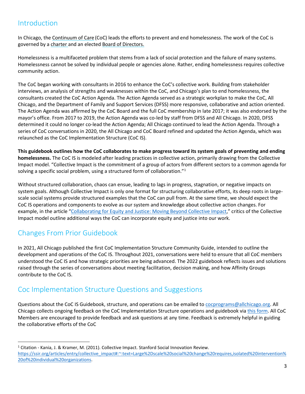# <span id="page-2-0"></span>Introduction

In Chicago, the [Continuum of Care](https://allchicago.org/continuum-of-care/) (CoC) leads the efforts to prevent and end homelessness. The work of the CoC is governed by a [charter](https://allchicago.org/the-chicago-continuum-of-care-charter/) and an elected [Board of Directors.](https://allchicago.org/continuum-of-care/the-coc-work-structure/supporting-change-coc-board-of-directors/)

Homelessness is a multifaceted problem that stems from a lack of social protection and the failure of many systems. Homelessness cannot be solved by individual people or agencies alone. Rather, ending homelessness requires collective community action.

The CoC began working with consultants in 2016 to enhance the CoC's collective work. Building from stakeholder interviews, an analysis of strengths and weaknesses within the CoC, and Chicago's plan to end homelessness, the consultants created the CoC Action Agenda. The Action Agenda served as a strategic workplan to make the CoC, All Chicago, and the Department of Family and Support Services (DFSS) more responsive, collaborative and action oriented. The Action Agenda was affirmed by the CoC Board and the full CoC membership in late 2017; it was also endorsed by the mayor's office. From 2017 to 2019, the Action Agenda was co-led by staff from DFSS and All Chicago. In 2020, DFSS determined it could no longer co-lead the Action Agenda; All Chicago continued to lead the Action Agenda. Through a series of CoC conversations in 2020, the All Chicago and CoC Board refined and updated the Action Agenda, which was relaunched as the CoC Implementation Structure (CoC IS).

**This guidebook outlines how the CoC collaborates to make progress toward its system goals of preventing and ending homelessness.** The CoC IS is modeled after leading practices in collective action, primarily drawing from the Collective Impact model. "Collective Impact is the commitment of a group of actors from different sectors to a common agenda for solving a specific social problem, using a structured form of collaboration."[1](#page-2-3)

Without structured collaboration, chaos can ensue, leading to lags in progress, stagnation, or negative impacts on system goals. Although Collective Impact is only one format for structuring collaborative efforts, its deep roots in largescale social systems provide structured examples that the CoC can pull from. At the same time, we should expect the CoC IS operations and components to evolve as our system and knowledge about collective action changes. For example, in the article ["Collaborating for Equity and Justice: Moving Beyond Collective Impact,](https://www.researchgate.net/profile/Frances-Butterfoss/publication/314089395_Collaborating_for_Equity_and_Justice_Moving_Beyond_Collective_Impact/links/58b478f045851503bea04ac3/Collaborating-for-Equity-and-Justice-Moving-Beyond-Collective-Impact.pdf)" critics of the Collective Impact model outline additional ways the CoC can incorporate equity and justice into our work.

# <span id="page-2-1"></span>Changes From Prior Guidebook

In 2021, All Chicago published the first CoC Implementation Structure Community Guide, intended to outline the development and operations of the CoC IS. Throughout 2021, conversations were held to ensure that all CoC members understood the CoC IS and how strategic priorities are being advanced. The 2022 guidebook reflects issues and solutions raised through the series of conversations about meeting facilitation, decision making, and how Affinity Groups contribute to the CoC IS.

# <span id="page-2-2"></span>Coc Implementation Structure Questions and Suggestions

Questions about the CoC IS Guidebook, structure, and operations can be emailed t[o cocprograms@allchicago.org.](mailto:cocprograms@allchicago.org) All Chicago collects ongoing feedback on the CoC Implementation Structure operations and guidebook vi[a this form.](https://forms.office.com/r/yYQv0TRknR) All CoC Members are encouraged to provide feedback and ask questions at any time. Feedback is extremely helpful in guiding the collaborative efforts of the CoC

<span id="page-2-3"></span><sup>1</sup> Citation - Kania, J. & Kramer, M. (2011). Collective Impact. Stanford Social Innovation Review. [https://ssir.org/articles/entry/collective\\_impact#:~:text=Large%2Dscale%20social%20change%20requires,isolated%20intervention%](https://ssir.org/articles/entry/collective_impact#:%7E:text=Large%2Dscale%20social%20change%20requires,isolated%20intervention%20of%20individual%20organizations) [20of%20individual%20organizations.](https://ssir.org/articles/entry/collective_impact#:%7E:text=Large%2Dscale%20social%20change%20requires,isolated%20intervention%20of%20individual%20organizations)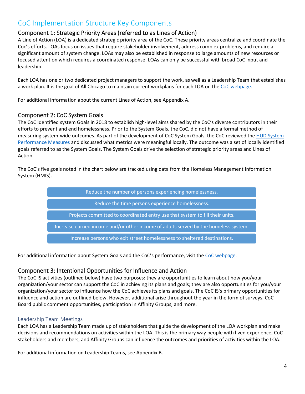## <span id="page-3-0"></span>CoC Implementation Structure Key Components

#### <span id="page-3-1"></span>Component 1: Strategic Priority Areas (referred to as Lines of Action)

A Line of Action (LOA) is a dedicated strategic priority area of the CoC. These priority areas centralize and coordinate the Coc's efforts. LOAs focus on issues that require stakeholder involvement, address complex problems, and require a significant amount of system change. LOAs may also be established in response to large amounts of new resources or focused attention which requires a coordinated response. LOAs can only be successful with broad CoC input and leadership.

Each LOA has one or two dedicated project managers to support the work, as well as a Leadership Team that establishes a work plan. It is the goal of All Chicago to maintain current workplans for each LOA on the [CoC webpage.](https://allchicago.org/continuum-of-care/the-coc-work-structure/supporting-change-coc-board-of-directors/)

For additional information about the current Lines of Action, see Appendix A.

#### <span id="page-3-2"></span>Component 2: CoC System Goals

The CoC identified system Goals in 2018 to establish high-level aims shared by the CoC's diverse contributors in their efforts to prevent and end homelessness. Prior to the System Goals, the CoC, did not have a formal method of measuring system-wide outcomes. As part of the development of CoC System Goals, the CoC reviewed th[e HUD System](https://www.hudexchange.info/programs/coc/system-performance-measures/#guidance)  [Performance Measures](https://www.hudexchange.info/programs/coc/system-performance-measures/#guidance) and discussed what metrics were meaningful locally. The outcome was a set of locally identified goals referred to as the System Goals. The System Goals drive the selection of strategic priority areas and Lines of Action.

The CoC's five goals noted in the chart below are tracked using data from the Homeless Management Information System (HMIS).

> Reduce the number of persons experiencing homelessness. Reduce the time persons experience homelessness. Projects committed to coordinated entry use that system to fill their units. Increase earned income and/or other income of adults served by the homeless system. Increase persons who exit street homelessness to sheltered destinations.

For additional information about System Goals and the CoC's performance, visit the [CoC webpage.](https://allchicago.org/continuum-of-care/the-coc-work-structure/supporting-change-coc-board-of-directors/)

#### <span id="page-3-3"></span>Component 3: Intentional Opportunities for Influence and Action

The CoC IS activities (outlined below) have two purposes: they are opportunities to learn about how you/your organization/your sector can support the CoC in achieving its plans and goals; they are also opportunities for you/your organization/your sector to influence how the CoC achieves its plans and goals. The CoC IS's primary opportunities for influence and action are outlined below. However, additional arise throughout the year in the form of surveys, CoC Board public comment opportunities, participation in Affinity Groups, and more.

#### Leadership Team Meetings

Each LOA has a Leadership Team made up of stakeholders that guide the development of the LOA workplan and make decisions and recommendations on activities within the LOA. This is the primary way people with lived experience, CoC stakeholders and members, and Affinity Groups can influence the outcomes and priorities of activities within the LOA.

For additional information on Leadership Teams, see Appendix B.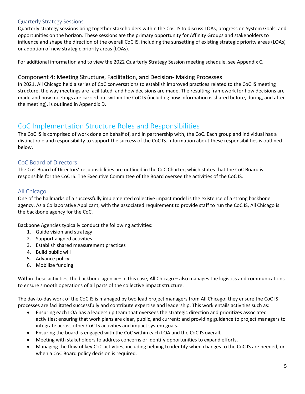#### Quarterly Strategy Sessions

Quarterly strategy sessions bring together stakeholders within the CoC IS to discuss LOAs, progress on System Goals, and opportunities on the horizon. These sessions are the primary opportunity for Affinity Groups and stakeholders to influence and shape the direction of the overall CoC IS, including the sunsetting of existing strategic priority areas (LOAs) or adoption of new strategic priority areas (LOAs).

For additional information and to view the 2022 Quarterly Strategy Session meeting schedule, see Appendix C.

#### <span id="page-4-0"></span>Component 4: Meeting Structure, Facilitation, and Decision- Making Processes

In 2021, All Chicago held a series of CoC conversations to establish improved practices related to the CoC IS meeting structure, the way meetings are facilitated, and how decisions are made. The resulting framework for how decisions are made and how meetings are carried out within the CoC IS (including how information is shared before, during, and after the meeting), is outlined in Appendix D.

### <span id="page-4-1"></span>CoC Implementation Structure Roles and Responsibilities

The CoC IS is comprised of work done on behalf of, and in partnership with, the CoC. Each group and individual has a distinct role and responsibility to support the success of the CoC IS. Information about these responsibilities is outlined below.

#### <span id="page-4-2"></span>CoC Board of Directors

The CoC Board of Directors' responsibilities are outlined in the CoC Charter, which states that the CoC Board is responsible for the CoC IS. The Executive Committee of the Board oversee the activities of the CoC IS.

#### <span id="page-4-3"></span>All Chicago

One of the hallmarks of a successfully implemented collective impact model is the existence of a strong backbone agency. As a Collaborative Applicant, with the associated requirement to provide staff to run the CoC IS, All Chicago is the backbone agency for the CoC.

Backbone Agencies typically conduct the following activities:

- 1. Guide vision and strategy
- 2. Support aligned activities
- 3. Establish shared measurement practices
- 4. Build public will
- 5. Advance policy
- 6. Mobilize funding

Within these activities, the backbone agency – in this case, All Chicago – also manages the logistics and communications to ensure smooth operations of all parts of the collective impact structure.

The day-to-day work of the CoC IS is managed by two lead project managers from All Chicago; they ensure the CoC IS processes are facilitated successfully and contribute expertise and leadership. This work entails activities such as:

- Ensuring each LOA has a leadership team that oversees the strategic direction and prioritizes associated activities; ensuring that work plans are clear, public, and current; and providing guidance to project managers to integrate across other CoC IS activities and impact system goals.
- Ensuring the board is engaged with the CoC within each LOA and the CoC IS overall.
- Meeting with stakeholders to address concerns or identify opportunities to expand efforts.
- Managing the flow of key CoC activities, including helping to identify when changes to the CoC IS are needed, or when a CoC Board policy decision is required.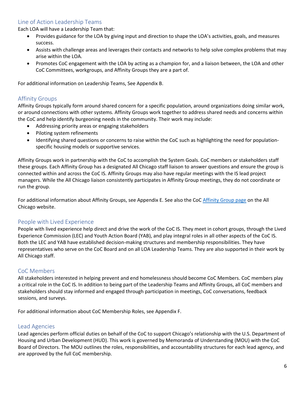#### <span id="page-5-0"></span>Line of Action Leadership Teams

Each LOA will have a Leadership Team that:

- Provides guidance for the LOA by giving input and direction to shape the LOA's activities, goals, and measures success.
- Assists with challenge areas and leverages their contacts and networks to help solve complex problems that may arise within the LOA.
- Promotes CoC engagement with the LOA by acting as a champion for, and a liaison between, the LOA and other CoC Committees, workgroups, and Affinity Groups they are a part of.

For additional information on Leadership Teams, See Appendix B.

#### <span id="page-5-1"></span>Affinity Groups

Affinity Groups typically form around shared concern for a specific population, around organizations doing similar work, or around connections with other systems. Affinity Groups work together to address shared needs and concerns within the CoC and help identify burgeoning needs in the community. Their work may include:

- Addressing priority areas or engaging stakeholders
- Piloting system refinements
- Identifying shared questions or concerns to raise within the CoC such as highlighting the need for populationspecific housing models or supportive services.

Affinity Groups work in partnership with the CoC to accomplish the System Goals. CoC members or stakeholders staff these groups. Each Affinity Group has a designated All Chicago staff liaison to answer questions and ensure the group is connected within and across the CoC IS. Affinity Groups may also have regular meetings with the IS lead project managers. While the All Chicago liaison consistently participates in Affinity Group meetings, they do not coordinate or run the group.

For additional information about Affinity Groups, see Appendix E. See also the CoC [Affinity Group page](https://allchicago.org/continuum-of-care/the-coc-work-structure/affinity-groups) on the All Chicago website.

#### <span id="page-5-2"></span>People with Lived Experience

People with lived experience help direct and drive the work of the CoC IS. They meet in cohort groups, through the Lived Experience Commission (LEC) and Youth Action Board (YAB), and play integral roles in all other aspects of the CoC IS. Both the LEC and YAB have established decision-making structures and membership responsibilities. They have representatives who serve on the CoC Board and on all LOA Leadership Teams. They are also supported in their work by All Chicago staff.

#### <span id="page-5-3"></span>CoC Members

All stakeholders interested in helping prevent and end homelessness should become CoC Members. CoC members play a critical role in the CoC IS. In addition to being part of the Leadership Teams and Affinity Groups, all CoC members and stakeholders should stay informed and engaged through participation in meetings, CoC conversations, feedback sessions, and surveys.

For additional information about CoC Membership Roles, see Appendix F.

#### <span id="page-5-4"></span>Lead Agencies

Lead agencies perform official duties on behalf of the CoC to support Chicago's relationship with the U.S. Department of Housing and Urban Development (HUD). This work is governed by Memoranda of Understanding (MOU) with the CoC Board of Directors. The MOU outlines the roles, responsibilities, and accountability structures for each lead agency, and are approved by the full CoC membership.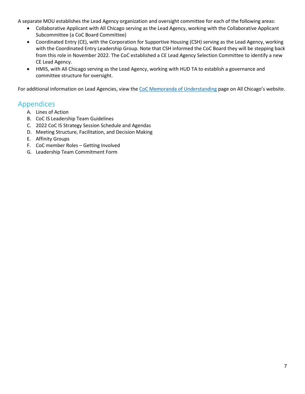A separate MOU establishes the Lead Agency organization and oversight committee for each of the following areas:

- Collaborative Applicant with All Chicago serving as the Lead Agency, working with the Collaborative Applicant Subcommittee (a CoC Board Committee)
- Coordinated Entry (CE), with the Corporation for Supportive Housing (CSH) serving as the Lead Agency, working with the Coordinated Entry Leadership Group. Note that CSH informed the CoC Board they will be stepping back from this role in November 2022. The CoC established a CE Lead Agency Selection Committee to identify a new CE Lead Agency.
- HMIS, with All Chicago serving as the Lead Agency, working with HUD TA to establish a governance and committee structure for oversight.

For additional information on Lead Agencies, view th[e CoC Memoranda of Understanding](https://allchicago.org/coc/mou) page on All Chicago's website.

#### <span id="page-6-0"></span>Appendices

- A. Lines of Action
- B. CoC IS Leadership Team Guidelines
- C. 2022 CoC IS Strategy Session Schedule and Agendas
- D. Meeting Structure, Facilitation, and Decision Making
- E. Affinity Groups
- F. CoC member Roles Getting Involved
- G. Leadership Team Commitment Form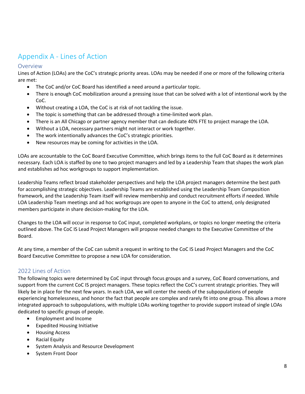# <span id="page-7-0"></span>Appendix A - Lines of Action

#### Overview

Lines of Action (LOAs) are the CoC's strategic priority areas. LOAs may be needed if one or more of the following criteria are met:

- The CoC and/or CoC Board has identified a need around a particular topic.
- There is enough CoC mobilization around a pressing issue that can be solved with a lot of intentional work by the CoC.
- Without creating a LOA, the CoC is at risk of not tackling the issue.
- The topic is something that can be addressed through a time-limited work plan.
- There is an All Chicago or partner agency member that can dedicate 40% FTE to project manage the LOA.
- Without a LOA, necessary partners might not interact or work together.
- The work intentionally advances the CoC's strategic priorities.
- New resources may be coming for activities in the LOA.

LOAs are accountable to the CoC Board Executive Committee, which brings items to the full CoC Board as it determines necessary. Each LOA is staffed by one to two project managers and led by a Leadership Team that shapes the work plan and establishes ad hoc workgroups to support implementation.

Leadership Teams reflect broad stakeholder perspectives and help the LOA project managers determine the best path for accomplishing strategic objectives. Leadership Teams are established using the Leadership Team Composition framework, and the Leadership Team itself will review membership and conduct recruitment efforts if needed. While LOA Leadership Team meetings and ad hoc workgroups are open to anyone in the CoC to attend, only designated members participate in share decision-making for the LOA.

Changes to the LOA will occur in response to CoC input, completed workplans, or topics no longer meeting the criteria outlined above. The CoC IS Lead Project Managers will propose needed changes to the Executive Committee of the Board.

At any time, a member of the CoC can submit a request in writing to the CoC IS Lead Project Managers and the CoC Board Executive Committee to propose a new LOA for consideration.

#### 2022 Lines of Action

The following topics were determined by CoC input through focus groups and a survey, CoC Board conversations, and support from the current CoC IS project managers. These topics reflect the CoC's current strategic priorities. They will likely be in place for the next few years. In each LOA, we will center the needs of the subpopulations of people experiencing homelessness, and honor the fact that people are complex and rarely fit into one group. This allows a more integrated approach to subpopulations, with multiple LOAs working together to provide support instead of single LOAs dedicated to specific groups of people.

- Employment and Income
- Expedited Housing Initiative
- Housing Access
- Racial Equity
- System Analysis and Resource Development
- System Front Door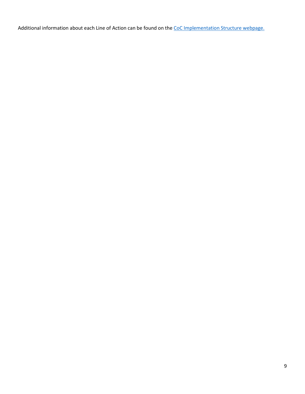Additional information about each Line of Action can be found on the [CoC Implementation Structure webpage.](https://allchicago.org/continuum-of-care/the-coc-work-structure/affinity-groups)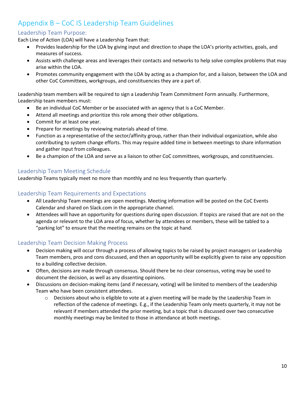# <span id="page-9-0"></span>Appendix B – CoC IS Leadership Team Guidelines

#### Leadership Team Purpose:

Each Line of Action (LOA) will have a Leadership Team that:

- Provides leadership for the LOA by giving input and direction to shape the LOA's priority activities, goals, and measures of success.
- Assists with challenge areas and leverages their contacts and networks to help solve complex problems that may arise within the LOA.
- Promotes community engagement with the LOA by acting as a champion for, and a liaison, between the LOA and other CoC Committees, workgroups, and constituencies they are a part of.

Leadership team members will be required to sign a Leadership Team Commitment Form annually. Furthermore, Leadership team members must:

- Be an individual CoC Member or be associated with an agency that is a CoC Member.
- Attend all meetings and prioritize this role among their other obligations.
- Commit for at least one year.
- Prepare for meetings by reviewing materials ahead of time.
- Function as a representative of the sector/affinity group, rather than their individual organization, while also contributing to system change efforts. This may require added time in between meetings to share information and gather input from colleagues.
- Be a champion of the LOA and serve as a liaison to other CoC committees, workgroups, and constituencies.

#### Leadership Team Meeting Schedule

Leadership Teams typically meet no more than monthly and no less frequently than quarterly.

#### Leadership Team Requirements and Expectations

- All Leadership Team meetings are open meetings. Meeting information will be posted on the CoC Events Calendar and shared on Slack.com in the appropriate channel.
- Attendees will have an opportunity for questions during open discussion. If topics are raised that are not on the agenda or relevant to the LOA area of focus, whether by attendees or members, these will be tabled to a "parking lot" to ensure that the meeting remains on the topic at hand.

#### Leadership Team Decision Making Process

- Decision making will occur through a process of allowing topics to be raised by project managers or Leadership Team members, pros and cons discussed, and then an opportunity will be explicitly given to raise any opposition to a building collective decision.
- Often, decisions are made through consensus. Should there be no clear consensus, voting may be used to document the decision, as well as any dissenting opinions.
- Discussions on decision-making items (and if necessary, voting) will be limited to members of the Leadership Team who have been consistent attendees.
	- $\circ$  Decisions about who is eligible to vote at a given meeting will be made by the Leadership Team in reflection of the cadence of meetings. E.g., if the Leadership Team only meets quarterly, it may not be relevant if members attended the prior meeting, but a topic that is discussed over two consecutive monthly meetings may be limited to those in attendance at both meetings.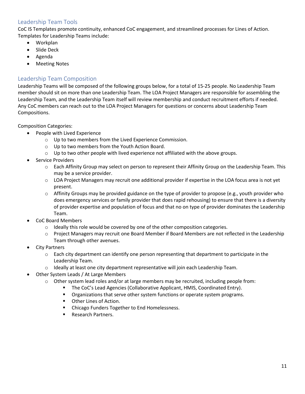#### Leadership Team Tools

CoC IS Templates promote continuity, enhanced CoC engagement, and streamlined processes for Lines of Action. Templates for Leadership Teams include:

- Workplan
- Slide Deck
- Agenda
- **Meeting Notes**

#### Leadership Team Composition

Leadership Teams will be composed of the following groups below, for a total of 15-25 people. No Leadership Team member should sit on more than one Leadership Team. The LOA Project Managers are responsible for assembling the Leadership Team, and the Leadership Team itself will review membership and conduct recruitment efforts if needed. Any CoC members can reach out to the LOA Project Managers for questions or concerns about Leadership Team Compositions.

Composition Categories:

- People with Lived Experience
	- o Up to two members from the Lived Experience Commission.
	- o Up to two members from the Youth Action Board.
	- $\circ$  Up to two other people with lived experience not affiliated with the above groups.
- Service Providers
	- o Each Affinity Group may select on person to represent their Affinity Group on the Leadership Team. This may be a service provider.
	- $\circ$  LOA Project Managers may recruit one additional provider if expertise in the LOA focus area is not yet present.
	- $\circ$  Affinity Groups may be provided guidance on the type of provider to propose (e.g., youth provider who does emergency services or family provider that does rapid rehousing) to ensure that there is a diversity of provider expertise and population of focus and that no on type of provider dominates the Leadership Team.
- CoC Board Members
	- $\circ$  Ideally this role would be covered by one of the other composition categories.
	- $\circ$  Project Managers may recruit one Board Member if Board Members are not reflected in the Leadership Team through other avenues.
- **City Partners** 
	- $\circ$  Each city department can identify one person representing that department to participate in the Leadership Team.
	- o Ideally at least one city department representative will join each Leadership Team.
- Other System Leads / At Large Members
	- $\circ$  Other system lead roles and/or at large members may be recruited, including people from:
		- **The CoC's Lead Agencies (Collaborative Applicant, HMIS, Coordinated Entry).**
		- **•** Organizations that serve other system functions or operate system programs.
		- Other Lines of Action.
		- **EXEC** Chicago Funders Together to End Homelessness.
		- Research Partners.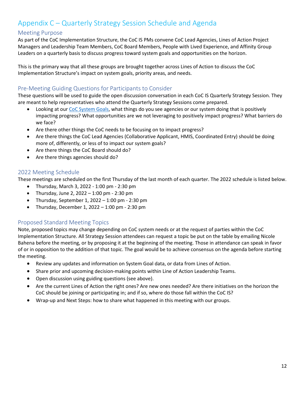# <span id="page-11-0"></span>Appendix C – Quarterly Strategy Session Schedule and Agenda

#### Meeting Purpose

As part of the CoC Implementation Structure, the CoC IS PMs convene CoC Lead Agencies, Lines of Action Project Managers and Leadership Team Members, CoC Board Members, People with Lived Experience, and Affinity Group Leaders on a quarterly basis to discuss progress toward system goals and opportunities on the horizon.

This is the primary way that all these groups are brought together across Lines of Action to discuss the CoC Implementation Structure's impact on system goals, priority areas, and needs.

#### Pre-Meeting Guiding Questions for Participants to Consider

These questions will be used to guide the open discussion conversation in each CoC IS Quarterly Strategy Session. They are meant to help representatives who attend the Quarterly Strategy Sessions come prepared.

- Looking at ou[r CoC System Goals,](https://allchicago.org/wp-content/uploads/2021/06/Chicago-CoC-System-Goals.pdf) what things do you see agencies or our system doing that is positively impacting progress? What opportunities are we not leveraging to positively impact progress? What barriers do we face?
- Are there other things the CoC needs to be focusing on to impact progress?
- Are there things the CoC Lead Agencies (Collaborative Applicant, HMIS, Coordinated Entry) should be doing more of, differently, or less of to impact our system goals?
- Are there things the CoC Board should do?
- Are there things agencies should do?

#### 2022 Meeting Schedule

These meetings are scheduled on the first Thursday of the last month of each quarter. The 2022 schedule is listed below.

- Thursday, March 3, 2022 1:00 pm 2:30 pm
- Thursday, June 2, 2022 1:00 pm 2:30 pm
- Thursday, September 1, 2022  $-$  1:00 pm 2:30 pm
- Thursday, December 1, 2022 1:00 pm 2:30 pm

#### Proposed Standard Meeting Topics

Note, proposed topics may change depending on CoC system needs or at the request of parties within the CoC Implementation Structure. All Strategy Session attendees can request a topic be put on the table by emailing Nicole Bahena before the meeting, or by proposing it at the beginning of the meeting. Those in attendance can speak in favor of or in opposition to the addition of that topic. The goal would be to achieve consensus on the agenda before starting the meeting.

- Review any updates and information on System Goal data, or data from Lines of Action.
- Share prior and upcoming decision-making points within Line of Action Leadership Teams.
- Open discussion using guiding questions (see above).
- Are the current Lines of Action the right ones? Are new ones needed? Are there initiatives on the horizon the CoC should be joining or participating in; and if so, where do those fall within the CoC IS?
- Wrap-up and Next Steps: how to share what happened in this meeting with our groups.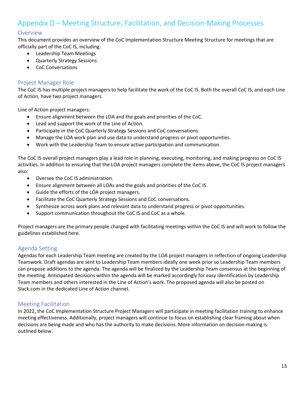# <span id="page-12-0"></span>Appendix D – Meeting Structure, Facilitation, and Decision-Making Processes

#### Overview

This document provides an overview of the CoC Implementation Structure Meeting Structure for meetings that are officially part of the CoC IS, including:

- Leadership Team Meetings
- Quarterly Strategy Sessions
- CoC Conversations

#### Project Manager Role

The CoC IS has multiple project managers to help facilitate the work of the CoC IS. Both the overall CoC IS, and each Line of Action, have two project managers.

Line of Action project managers:

- Ensure alignment between the LOA and the goals and priorities of the CoC.
- Lead and support the work of the Line of Action.
- Participate in the CoC Quarterly Strategy Sessions and CoC conversations.
- Manage the LOA work plan and use data to understand progress or pivot opportunities.
- Work with the Leadership Team to ensure active participation and communication.

The CoC IS overall project managers play a lead role in planning, executing, monitoring, and making progress on CoC IS activities. In addition to ensuring that the LOA project managers complete the items above, the CoC IS project managers also:

- Oversee the CoC IS administration.
- Ensure alignment between all LOAs and the goals and priorities of the CoC IS.
- Guide the efforts of the LOA project managers.
- Facilitate the CoC Quarterly Strategy Sessions and CoC conversations.
- Synthesize across work plans and relevant data to understand progress or pivot opportunities.
- Support communication throughout the CoC IS and CoC as a whole.

Project managers are the primary people charged with facilitating meetings within the CoC IS and will work to follow the guidelines established here.

#### Agenda Setting

Agendas for each Leadership Team meeting are created by the LOA project managers in reflection of ongoing Leadership Teamwork. Draft agendas are sent to Leadership Team members ideally one week prior so Leadership Team members can propose additions to the agenda. The agenda will be finalized by the Leadership Team consensus at the beginning of the meeting. Anticipated decisions within the agenda will be marked accordingly for easy identification by Leadership Team members and others interested in the Line of Action's work. The proposed agenda will also be posted on Slack.com in the dedicated Line of Action channel.

#### Meeting Facilitation

In 2022, the CoC Implementation Structure Project Managers will participate in meeting facilitation training to enhance meeting effectiveness. Additionally, project managers will continue to focus on establishing clear framing about when decisions are being made and who has the authority to make decisions. More information on decision-making is outlined below.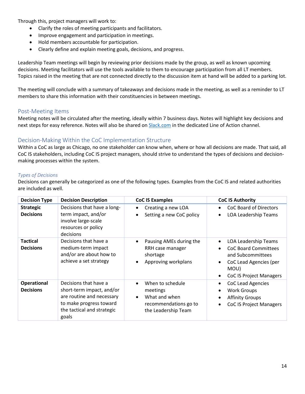Through this, project managers will work to:

- Clarify the roles of meeting participants and facilitators.
- Improve engagement and participation in meetings.
- Hold members accountable for participation.
- Clearly define and explain meeting goals, decisions, and progress.

Leadership Team meetings will begin by reviewing prior decisions made by the group, as well as known upcoming decisions. Meeting facilitators will use the tools available to them to encourage participation from all LT members. Topics raised in the meeting that are not connected directly to the discussion item at hand will be added to a parking lot.

The meeting will conclude with a summary of takeaways and decisions made in the meeting, as well as a reminder to LT members to share this information with their constituencies in between meetings.

#### Post-Meeting Items

Meeting notes will be circulated after the meeting, ideally within 7 business days. Notes will highlight key decisions and next steps for easy reference. Notes will also be shared o[n Slack.com](http://bit.ly/chicagococ) in the dedicated Line of Action channel.

#### Decision-Making Within the CoC Implementation Structure

Within a CoC as large as Chicago, no one stakeholder can know when, where or how all decisions are made. That said, all CoC IS stakeholders, including CoC IS project managers, should strive to understand the types of decisions and decisionmaking processes within the system.

#### *Types of Decisions*

Decisions can generally be categorized as one of the following types. Examples from the CoC IS and related authorities are included as well.

| <b>Decision Type</b>                   | <b>Decision Description</b>                                                                                                                       | <b>CoC IS Examples</b>                                                                        | <b>CoC IS Authority</b>                                                                                                                                  |
|----------------------------------------|---------------------------------------------------------------------------------------------------------------------------------------------------|-----------------------------------------------------------------------------------------------|----------------------------------------------------------------------------------------------------------------------------------------------------------|
| <b>Strategic</b><br><b>Decisions</b>   | Decisions that have a long-<br>term impact, and/or<br>involve large-scale<br>resources or policy<br>decisions                                     | Creating a new LOA<br>$\bullet$<br>Setting a new CoC policy                                   | CoC Board of Directors<br><b>LOA Leadership Teams</b><br>$\bullet$                                                                                       |
| <b>Tactical</b><br><b>Decisions</b>    | Decisions that have a<br>medium-term impact<br>and/or are about how to<br>achieve a set strategy                                                  | Pausing AMEs during the<br>RRH case manager<br>shortage<br>Approving workplans                | <b>LOA Leadership Teams</b><br><b>CoC Board Committees</b><br>and Subcommittees<br>CoC Lead Agencies (per<br>٠<br>MOU)<br><b>CoC IS Project Managers</b> |
| <b>Operational</b><br><b>Decisions</b> | Decisions that have a<br>short-term impact, and/or<br>are routine and necessary<br>to make progress toward<br>the tactical and strategic<br>goals | When to schedule<br>meetings<br>What and when<br>recommendations go to<br>the Leadership Team | CoC Lead Agencies<br><b>Work Groups</b><br><b>Affinity Groups</b><br>٠<br><b>CoC IS Project Managers</b><br>$\bullet$                                    |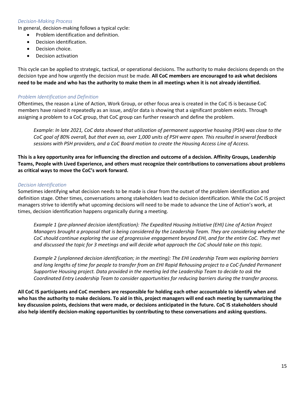#### *Decision-Making Process*

In general, decision-making follows a typical cycle:

- Problem identification and definition.
- Decision identification.
- Decision choice.
- Decision activation

This cycle can be applied to strategic, tactical, or operational decisions. The authority to make decisions depends on the decision type and how urgently the decision must be made. **All CoC members are encouraged to ask what decisions need to be made and who has the authority to make them in all meetings when it is not already identified.**

#### *Problem Identification and Definition*

Oftentimes, the reason a Line of Action, Work Group, or other focus area is created in the CoC IS is because CoC members have raised it repeatedly as an issue, and/or data is showing that a significant problem exists. Through assigning a problem to a CoC group, that CoC group can further research and define the problem.

*Example: In late 2021, CoC data showed that utilization of permanent supportive housing (PSH) was close to the CoC goal of 80% overall, but that even so, over 1,000 units of PSH were open. This resulted in several feedback sessions with PSH providers, and a CoC Board motion to create the Housing Access Line of Access.*

**This is a key opportunity area for influencing the direction and outcome of a decision. Affinity Groups, Leadership Teams, People with Lived Experience, and others must recognize their contributions to conversations about problems as critical ways to move the CoC's work forward.**

#### *Decision Identification*

Sometimes identifying what decision needs to be made is clear from the outset of the problem identification and definition stage. Other times, conversations among stakeholders lead to decision identification. While the CoC IS project managers strive to identify what upcoming decisions will need to be made to advance the Line of Action's work, at times, decision identification happens organically during a meeting.

*Example 1 (pre-planned decision identification): The Expedited Housing Initiative (EHI) Line of Action Project Managers brought a proposal that is being considered by the Leadership Team. They are considering whether the CoC should continue exploring the use of progressive engagement beyond EHI, and for the entire CoC. They met and discussed the topic for 3 meetings and will decide what approach the CoC should take on this topic.*

*Example 2 (unplanned decision identification; in the meeting): The EHI Leadership Team was exploring barriers and long lengths of time for people to transfer from an EHI Rapid Rehousing project to a CoC-funded Permanent Supportive Housing project. Data provided in the meeting led the Leadership Team to decide to ask the Coordinated Entry Leadership Team to consider opportunities for reducing barriers during the transfer process.*

**All CoC IS participants and CoC members are responsible for holding each other accountable to identify when and who has the authority to make decisions. To aid in this, project managers will end each meeting by summarizing the key discussion points, decisions that were made, or decisions anticipated in the future. CoC IS stakeholders should also help identify decision-making opportunities by contributing to these conversations and asking questions.**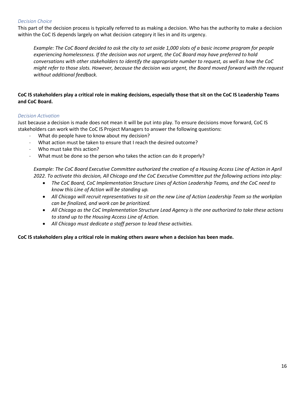#### *Decision Choice*

This part of the decision process is typically referred to as making a decision. Who has the authority to make a decision within the CoC IS depends largely on what decision category it lies in and its urgency.

*Example: The CoC Board decided to ask the city to set aside 1,000 slots of a basic income program for people experiencing homelessness. If the decision was not urgent, the CoC Board may have preferred to hold conversations with other stakeholders to identify the appropriate number to request, as well as how the CoC might refer to those slots. However, because the decision was urgent, the Board moved forward with the request without additional feedback.*

#### **CoC IS stakeholders play a critical role in making decisions, especially those that sit on the CoC IS Leadership Teams and CoC Board.**

#### *Decision Activation*

Just because a decision is made does not mean it will be put into play. To ensure decisions move forward, CoC IS stakeholders can work with the CoC IS Project Managers to answer the following questions:

- What do people have to know about my decision?
- What action must be taken to ensure that I reach the desired outcome?
- Who must take this action?
- What must be done so the person who takes the action can do it properly?

*Example: The CoC Board Executive Committee authorized the creation of a Housing Access Line of Action in April 2022. To activate this decision, All Chicago and the CoC Executive Committee put the following actions into play:*

- *The CoC Board, CoC Implementation Structure Lines of Action Leadership Teams, and the CoC need to know this Line of Action will be standing up.*
- *All Chicago will recruit representatives to sit on the new Line of Action Leadership Team so the workplan can be finalized, and work can be prioritized.*
- *All Chicago as the CoC Implementation Structure Lead Agency is the one authorized to take these actions to stand up to the Housing Access Line of Action.*
- *All Chicago must dedicate a staff person to lead these activities.*

#### **CoC IS stakeholders play a critical role in making others aware when a decision has been made.**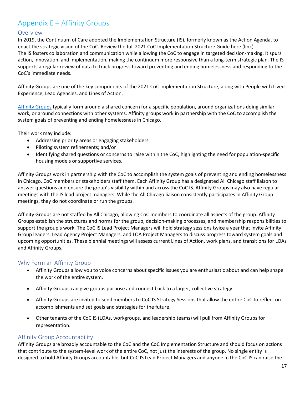# <span id="page-16-0"></span>Appendix E – Affinity Groups

#### Overview

In 2019, the Continuum of Care adopted the Implementation Structure (IS), formerly known as the Action Agenda, to enact the strategic vision of the CoC. Review the full 2021 CoC Implementation Structure Guide here (link). The IS fosters collaboration and communication while allowing the CoC to engage in targeted decision-making. It spurs action, innovation, and implementation, making the continuum more responsive than a long-term strategic plan. The IS supports a regular review of data to track progress toward preventing and ending homelessness and responding to the CoC's immediate needs.

Affinity Groups are one of the key components of the 2021 CoC Implementation Structure, along with People with Lived Experience, Lead Agencies, and Lines of Action.

[Affinity Groups](https://allchicago.org/continuum-of-care/the-coc-work-structure/affinity-groups) typically form around a shared concern for a specific population, around organizations doing similar work, or around connections with other systems. Affinity groups work in partnership with the CoC to accomplish the system goals of preventing and ending homelessness in Chicago.

Their work may include:

- Addressing priority areas or engaging stakeholders.
- Piloting system refinements; and/or
- Identifying shared questions or concerns to raise within the CoC, highlighting the need for population-specific housing models or supportive services.

Affinity Groups work in partnership with the CoC to accomplish the system goals of preventing and ending homelessness in Chicago. CoC members or stakeholders staff them. Each Affinity Group has a designated All Chicago staff liaison to answer questions and ensure the group's visibility within and across the CoC IS. Affinity Groups may also have regular meetings with the IS lead project managers. While the All Chicago liaison consistently participates in Affinity Group meetings, they do not coordinate or run the groups.

Affinity Groups are not staffed by All Chicago, allowing CoC members to coordinate all aspects of the group. Affinity Groups establish the structures and norms for the group, decision-making processes, and membership responsibilities to support the group's work. The CoC IS Lead Project Managers will hold strategy sessions twice a year that invite Affinity Group leaders, Lead Agency Project Managers, and LOA Project Managers to discuss progress toward system goals and upcoming opportunities. These biennial meetings will assess current Lines of Action, work plans, and transitions for LOAs and Affinity Groups.

#### Why Form an Affinity Group

- Affinity Groups allow you to voice concerns about specific issues you are enthusiastic about and can help shape the work of the entire system.
- Affinity Groups can give groups purpose and connect back to a larger, collective strategy.
- Affinity Groups are invited to send members to CoC IS Strategy Sessions that allow the entire CoC to reflect on accomplishments and set goals and strategies for the future.
- Other tenants of the CoC IS (LOAs, workgroups, and leadership teams) will pull from Affinity Groups for representation.

#### Affinity Group Accountability

Affinity Groups are broadly accountable to the CoC and the CoC Implementation Structure and should focus on actions that contribute to the system-level work of the entire CoC, not just the interests of the group. No single entity is designed to hold Affinity Groups accountable, but CoC IS Lead Project Managers and anyone in the CoC IS can raise the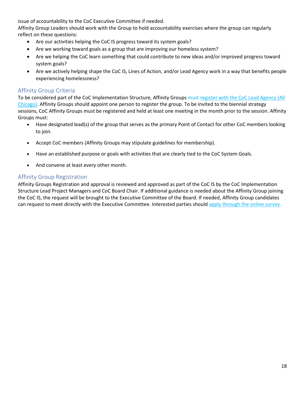issue of accountability to the CoC Executive Committee if needed.

Affinity Group Leaders should work with the Group to hold accountability exercises where the group can regularly reflect on these questions:

- Are our activities helping the CoC IS progress toward its system goals?
- Are we working toward goals as a group that are improving our homeless system?
- Are we helping the CoC learn something that could contribute to new ideas and/or improved progress toward system goals?
- Are we actively helping shape the CoC IS, Lines of Action, and/or Lead Agency work in a way that benefits people experiencing homelessness?

#### Affinity Group Criteria

To be considered part of the CoC Implementation Structure, Affinity Groups must register with the CoC Lead Agency (All [Chicago\).](https://survey.alchemer.com/s3/6287402/CoC-Implementation-Structure-Affinity-Group-Registration) Affinity Groups should appoint one person to register the group. To be invited to the biennial strategy sessions, CoC Affinity Groups must be registered and held at least one meeting in the month prior to the session. Affinity Groups must:

- Have designated lead(s) of the group that serves as the primary Point of Contact for other CoC members looking to join.
- Accept CoC members (Affinity Groups may stipulate guidelines for membership).
- Have an established purpose or goals with activities that are clearly tied to the CoC System Goals.
- And convene at least every other month.

#### Affinity Group Registration

Affinity Groups Registration and approval is reviewed and approved as part of the CoC IS by the CoC Implementation Structure Lead Project Managers and CoC Board Chair. If additional guidance is needed about the Affinity Group joining the CoC IS, the request will be brought to the Executive Committee of the Board. If needed, Affinity Group candidates can request to meet directly with the Executive Committee. Interested parties should [apply through the online survey.](https://survey.alchemer.com/s3/6287402/CoC-Implementation-Structure-Affinity-Group-Registration)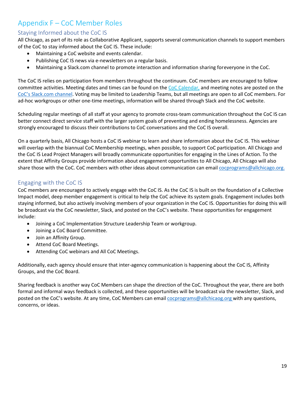# <span id="page-18-0"></span>Appendix F – CoC Member Roles

#### Staying Informed about the CoC IS

All Chicago, as part of its role as Collaborative Applicant, supports several communication channels to support members of the CoC to stay informed about the CoC IS. These include:

- Maintaining a CoC website and events calendar.
- Publishing CoC IS news via e-newsletters on a regular basis.
- Maintaining a Slack.com channel to promote interaction and information sharing foreveryone in the CoC.

The CoC IS relies on participation from members throughout the continuum. CoC members are encouraged to follow committee activities. Meeting dates and times can be found on the [CoC Calendar,](https://allchicago.org/events/) and m[e](https://allchicago1.sharepoint.com/sites/CAandCoC/Shared%20Documents/chicagococ.slack.com)eting notes are posted on the [CoC's Slack.com channel.](http://bit.ly/chicagococ) Voting may be limited to Leadership Teams, but all meetings are open to all CoC members. For ad-hoc workgroups or other one-time meetings, information will be shared through Slack and the CoC website.

Scheduling regular meetings of all staff at your agency to promote cross-team communication throughout the CoC IS can better connect direct service staff with the larger system goals of preventing and ending homelessness. Agencies are strongly encouraged to discuss their contributions to CoC conversations and the CoC IS overall.

On a quarterly basis, All Chicago hosts a CoC IS webinar to learn and share information about the CoC IS. This webinar will overlap with the biannual CoC Membership meetings, when possible, to support CoC participation. All Chicago and the CoC IS Lead Project Managers will broadly communicate opportunities for engaging in the Lines of Action. To the extent that Affinity Groups provide information about engagement opportunities to All Chicago, All Chicago will also share those with the CoC. CoC members with other ideas about communication can email [cocprograms@allchicago.org.](mailto:cocprograms@allchicago.org.)

#### Engaging with the CoC IS

CoC members are encouraged to actively engage with the CoC IS. As the CoC IS is built on the foundation of a Collective Impact model, deep member engagement is critical to help the CoC achieve its system goals. Engagement includes both staying informed, but also actively involving members of your organization in the CoC IS. Opportunities for doing this will be broadcast via the CoC newsletter, Slack, and posted on the CoC's website. These opportunities for engagement include:

- Joining a CoC Implementation Structure Leadership Team or workgroup.
- Joining a CoC Board Committee.
- Join an Affinity Group.
- Attend CoC Board Meetings.
- Attending CoC webinars and All CoC Meetings.

Additionally, each agency should ensure that inter-agency communication is happening about the CoC IS, Affinity Groups, and the CoC Board.

Sharing feedback is another way CoC Members can shape the direction of the CoC. Throughout the year, there are both formal and informal ways feedback is collected, and these opportunities will be broadcast via the newsletter, Slack, and posted on the CoC's website. At any time, CoC Members can email [cocprograms@allchicaog.org w](mailto:cocprograms@allchicaog.org)ith any questions, concerns, or ideas.